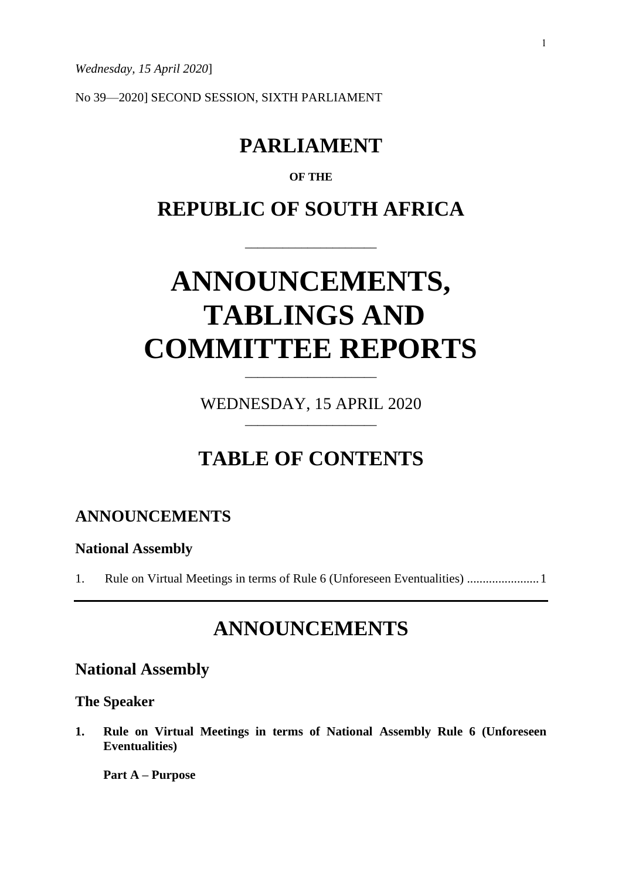*Wednesday, 15 April 2020*]

No 39—2020] SECOND SESSION, SIXTH PARLIAMENT

# **PARLIAMENT**

# **OF THE**

# **REPUBLIC OF SOUTH AFRICA**

\_\_\_\_\_\_\_\_\_\_\_\_\_\_\_\_\_\_\_\_\_

# **ANNOUNCEMENTS, TABLINGS AND COMMITTEE REPORTS**

WEDNESDAY, 15 APRIL 2020 \_\_\_\_\_\_\_\_\_\_\_\_\_\_\_\_\_\_\_\_\_

\_\_\_\_\_\_\_\_\_\_\_\_\_\_\_\_\_\_\_\_\_

# **TABLE OF CONTENTS**

# **ANNOUNCEMENTS**

#### **National Assembly**

1. Rule on Virtual Meetings in terms of Rule 6 (Unforeseen Eventualities) .......................1

# **ANNOUNCEMENTS**

# **National Assembly**

## **The Speaker**

**1. Rule on Virtual Meetings in terms of National Assembly Rule 6 (Unforeseen Eventualities)**

**Part A – Purpose**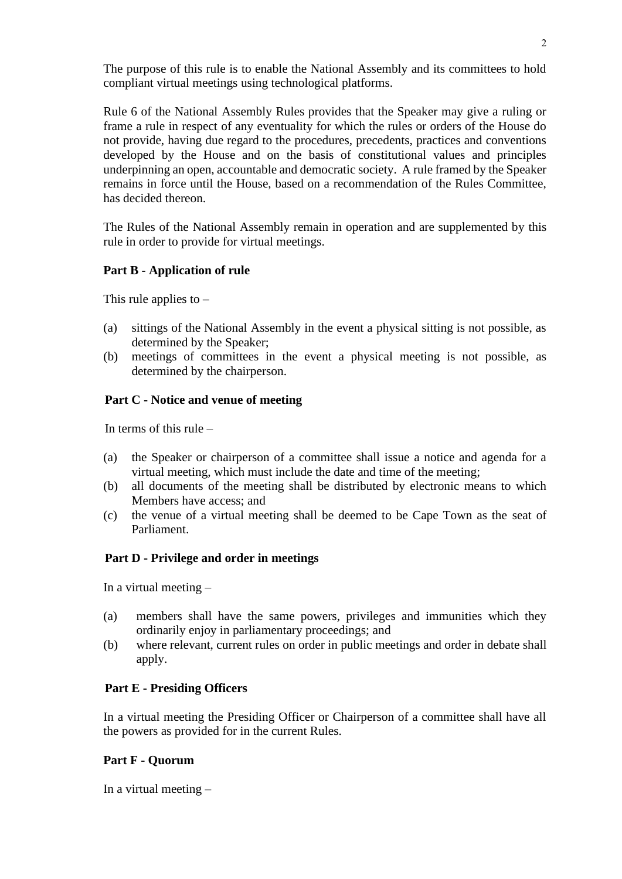The purpose of this rule is to enable the National Assembly and its committees to hold compliant virtual meetings using technological platforms.

Rule 6 of the National Assembly Rules provides that the Speaker may give a ruling or frame a rule in respect of any eventuality for which the rules or orders of the House do not provide, having due regard to the procedures, precedents, practices and conventions developed by the House and on the basis of constitutional values and principles underpinning an open, accountable and democratic society. A rule framed by the Speaker remains in force until the House, based on a recommendation of the Rules Committee, has decided thereon.

The Rules of the National Assembly remain in operation and are supplemented by this rule in order to provide for virtual meetings.

## **Part B - Application of rule**

This rule applies to  $-$ 

- (a) sittings of the National Assembly in the event a physical sitting is not possible, as determined by the Speaker;
- (b) meetings of committees in the event a physical meeting is not possible, as determined by the chairperson.

## **Part C - Notice and venue of meeting**

In terms of this rule –

- (a) the Speaker or chairperson of a committee shall issue a notice and agenda for a virtual meeting, which must include the date and time of the meeting;
- (b) all documents of the meeting shall be distributed by electronic means to which Members have access; and
- (c) the venue of a virtual meeting shall be deemed to be Cape Town as the seat of Parliament.

#### **Part D - Privilege and order in meetings**

In a virtual meeting –

- (a) members shall have the same powers, privileges and immunities which they ordinarily enjoy in parliamentary proceedings; and
- (b) where relevant, current rules on order in public meetings and order in debate shall apply.

#### **Part E - Presiding Officers**

In a virtual meeting the Presiding Officer or Chairperson of a committee shall have all the powers as provided for in the current Rules.

#### **Part F - Quorum**

In a virtual meeting –